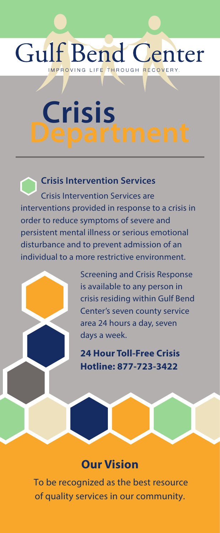# **Gulf Bend Center** IMPROVING LIFE THROUGH RECOVERY

**Crisis Department**

**Crisis Intervention Services** Crisis Intervention Services are interventions provided in response to a crisis in order to reduce symptoms of severe and persistent mental illness or serious emotional disturbance and to prevent admission of an individual to a more restrictive environment.

> Screening and Crisis Response is available to any person in crisis residing within Gulf Bend Center's seven county service area 24 hours a day, seven days a week.

**24 Hour Toll-Free Crisis Hotline: 877-723-3422**

# **Our Vision**

To be recognized as the best resource of quality services in our community.